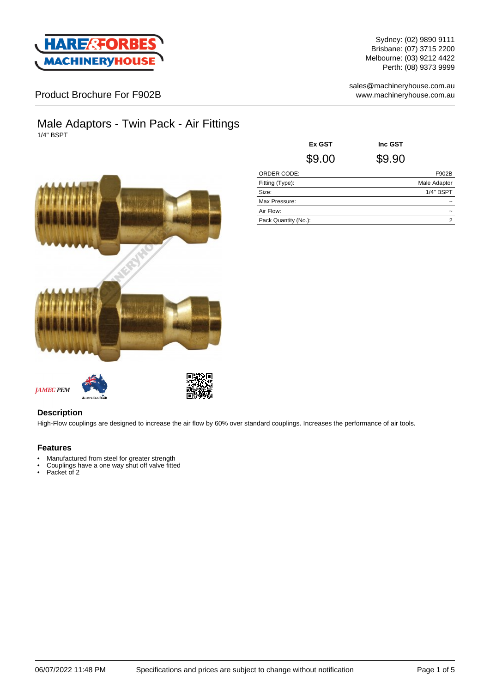

Sydney: (02) 9890 9111 Brisbane: (07) 3715 2200 Melbourne: (03) 9212 4422 Perth: (08) 9373 9999

sales@machineryhouse.com.au www.machineryhouse.com.au

## Product Brochure For F902B

### Male Adaptors - Twin Pack - Air Fittings 1/4" BSPT



|                      | Ex GST | Inc GST |              |
|----------------------|--------|---------|--------------|
|                      | \$9.00 | \$9.90  |              |
| ORDER CODE:          |        |         | F902B        |
| Fitting (Type):      |        |         | Male Adaptor |
| Size:                |        |         | 1/4" BSPT    |
| Max Pressure:        |        |         |              |
| Air Flow:            |        |         |              |
| Pack Quantity (No.): |        |         | 2            |

**JAMEC PEM** 



### **Description**

High-Flow couplings are designed to increase the air flow by 60% over standard couplings. Increases the performance of air tools.

#### **Features**

- Manufactured from steel for greater strength
- Couplings have a one way shut off valve fitted
- Packet of 2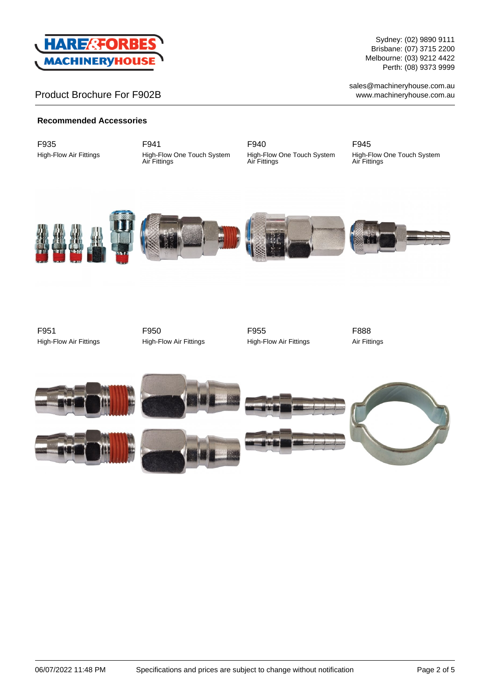

# Product Brochure For F902B

Sydney: (02) 9890 9111 Brisbane: (07) 3715 2200 Melbourne: (03) 9212 4422 Perth: (08) 9373 9999

sales@machineryhouse.com.au www.machineryhouse.com.au

#### **Recommended Accessories**

F935 High-Flow Air Fittings F941 High-Flow One Touch System Air Fittings

F940 High-Flow One Touch System Air Fittings

F945 High-Flow One Touch System Air Fittings











F951 High-Flow Air Fittings

F950 High-Flow Air Fittings



F888 Air Fittings









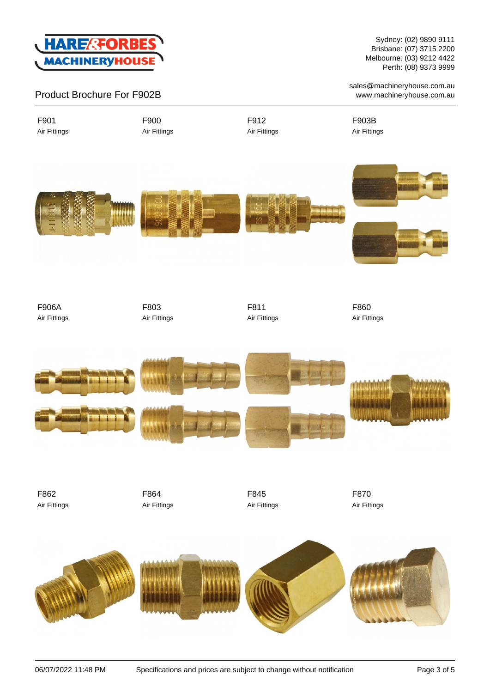

Product Brochure For F902B

Sydney: (02) 9890 9111 Brisbane: (07) 3715 2200 Melbourne: (03) 9212 4422 Perth: (08) 9373 9999

sales@machineryhouse.com.au www.machineryhouse.com.au

Air Fittings

F901

F900 Air Fittings F912 Air Fittings F903B Air Fittings









F906A Air Fittings F803 Air Fittings

F811 Air Fittings F860 Air Fittings



F862 Air Fittings F864 Air Fittings F845 Air Fittings F870 Air Fittings

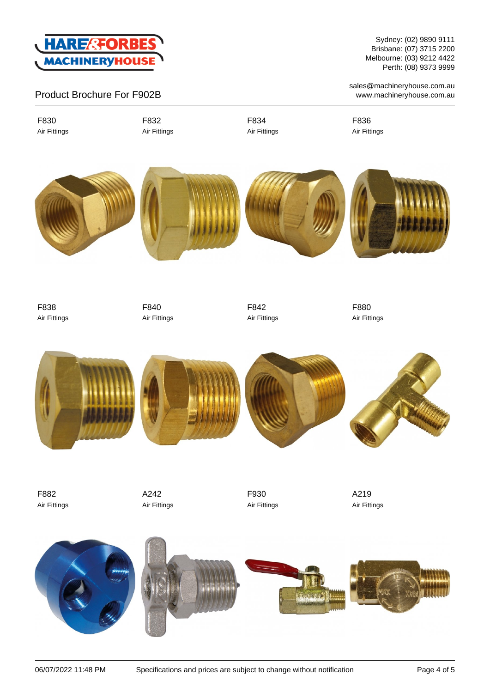

# Product Brochure For F902B

F830 Air Fittings F832 Air Fittings F834 Air Fittings F836 Air Fittings









Sydney: (02) 9890 9111 Brisbane: (07) 3715 2200 Melbourne: (03) 9212 4422 Perth: (08) 9373 9999

sales@machineryhouse.com.au www.machineryhouse.com.au

F838 Air Fittings F840 Air Fittings F842 Air Fittings

F880 Air Fittings



F882 Air Fittings A242 Air Fittings F930 Air Fittings A219 Air Fittings